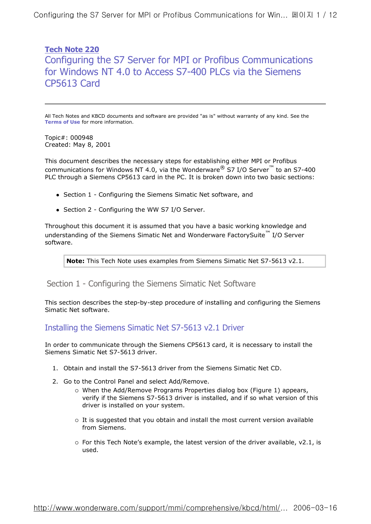Configuring the S7 Server for MPI or Profibus Communications for Win... 페이지 1 / 12

**Tech Note 220** Configuring the S7 Server for MPI or Profibus Communications for Windows NT 4.0 to Access S7-400 PLCs via the Siemens CP5613 Card

All Tech Notes and KBCD documents and software are provided "as is" without warranty of any kind. See the **Terms of Use** for more information.

Topic#: 000948 Created: May 8, 2001

This document describes the necessary steps for establishing either MPI or Profibus communications for Windows NT 4.0, via the Wonderware<sup>®</sup> S7 I/O Server<sup>™</sup> to an S7-400 PLC through a Siemens CP5613 card in the PC. It is broken down into two basic sections:

- Section 1 Configuring the Siemens Simatic Net software, and
- Section 2 Configuring the WW S7 I/O Server.

Throughout this document it is assumed that you have a basic working knowledge and understanding of the Siemens Simatic Net and Wonderware FactorySuite™ I/O Server software.

**Note:** This Tech Note uses examples from Siemens Simatic Net S7-5613 v2.1.

Section 1 - Configuring the Siemens Simatic Net Software

This section describes the step-by-step procedure of installing and configuring the Siemens Simatic Net software.

Installing the Siemens Simatic Net S7-5613 v2.1 Driver

In order to communicate through the Siemens CP5613 card, it is necessary to install the Siemens Simatic Net S7-5613 driver.

- 1. Obtain and install the S7-5613 driver from the Siemens Simatic Net CD.
- 2. Go to the Control Panel and select Add/Remove.
	- ° When the Add/Remove Programs Properties dialog box (Figure 1) appears, verify if the Siemens S7-5613 driver is installed, and if so what version of this driver is installed on your system.
	- $\circ$  It is suggested that you obtain and install the most current version available from Siemens.
	- $\circ$  For this Tech Note's example, the latest version of the driver available, v2.1, is used.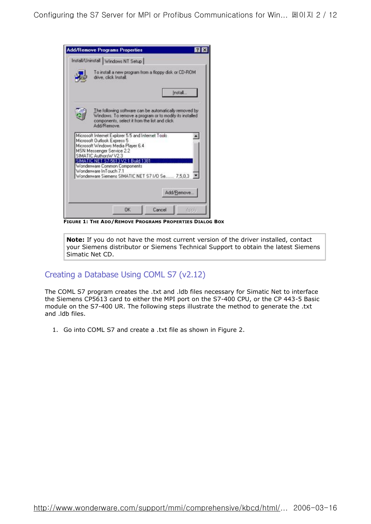| Install/Uninstall   Windows NT Setup                                                                                                                                               |            |  |
|------------------------------------------------------------------------------------------------------------------------------------------------------------------------------------|------------|--|
| To install a new program from a floppy disk or CD-ROM                                                                                                                              |            |  |
| drive, click Install.                                                                                                                                                              |            |  |
|                                                                                                                                                                                    | Install    |  |
| The following software can be automatically removed by<br>Windows. To remove a program or to modify its installed<br>components, select it from the list and click.<br>Add/Remove. |            |  |
| Microsoft Internet Explorer 5.5 and Internet Tools<br>Microsoft Outlook Express 5<br>Microsoft Windows Media Player 6.4                                                            |            |  |
| <b>MSN Messenger Service 2.2</b><br>SIMATIC AuthorsW V2.3                                                                                                                          |            |  |
| SIMATIC NET S7-5613 V2.1 Build 1381<br>Wonderware Common Components<br>Wonderware InTouch 7.1<br>Wonderware Siemens SIMATIC NET S71/0 Se 7,5,0,3                                   |            |  |
|                                                                                                                                                                                    | Add/Remove |  |

**FIGURE 1: THE ADD/REMOVE PROGRAMS PROPERTIES DIALOG BOX**

**Note:** If you do not have the most current version of the driver installed, contact your Siemens distributor or Siemens Technical Support to obtain the latest Siemens Simatic Net CD.

# Creating a Database Using COML S7 (v2.12)

The COML S7 program creates the .txt and .ldb files necessary for Simatic Net to interface the Siemens CP5613 card to either the MPI port on the S7-400 CPU, or the CP 443-5 Basic module on the S7-400 UR. The following steps illustrate the method to generate the .txt and .ldb files.

1. Go into COML S7 and create a .txt file as shown in Figure 2.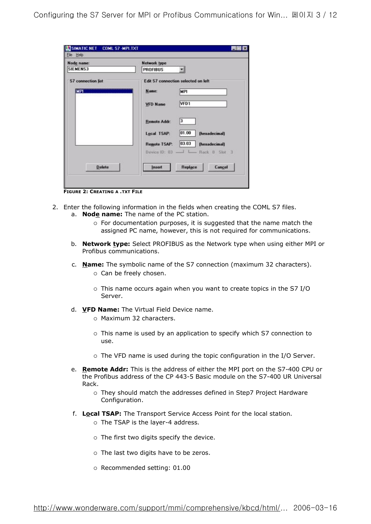| Node name:                | <b>Network type</b> |                                     |
|---------------------------|---------------------|-------------------------------------|
| <b>SIEMENS3</b>           | <b>PROFIBUS</b>     |                                     |
| <b>S7</b> connection list |                     | Edit S7 connection selected on left |
| MPI.                      | Name:               | <b>MP1</b>                          |
|                           | <b>VFD Name</b>     | VFD1                                |
|                           | <b>Remote Addr:</b> | 3                                   |
|                           | Local TSAP:         | 01.00<br>(hexadecimal)              |
|                           | <b>Remote TSAP:</b> | 03.03<br>(hexadecimal)              |
|                           |                     | Device ID: 03 - E - Rack U Slot 3   |
| Delete                    | Insert              | Replace<br>Cancel                   |

**FIGURE 2: CREATING A .TXT FILE**

- 2. Enter the following information in the fields when creating the COML S7 files. a. **Node name:** The name of the PC station.
	- $\circ$  For documentation purposes, it is suggested that the name match the assigned PC name, however, this is not required for communications.
	- b. **Network type:** Select PROFIBUS as the Network type when using either MPI or Profibus communications.
	- c. **Name:** The symbolic name of the S7 connection (maximum 32 characters).  $\circ$  Can be freely chosen.
		- ° This name occurs again when you want to create topics in the S7 I/O Server.
	- d. **VFD Name:** The Virtual Field Device name.
		- ° Maximum 32 characters.
		- ° This name is used by an application to specify which S7 connection to use.
		- ° The VFD name is used during the topic configuration in the I/O Server.
	- e. **Remote Addr:** This is the address of either the MPI port on the S7-400 CPU or the Profibus address of the CP 443-5 Basic module on the S7-400 UR Universal Rack.
		- ° They should match the addresses defined in Step7 Project Hardware Configuration.
	- f. **Local TSAP:** The Transport Service Access Point for the local station.
		- ° The TSAP is the layer-4 address.
		- $\circ$  The first two digits specify the device.
		- ° The last two digits have to be zeros.
		- ° Recommended setting: 01.00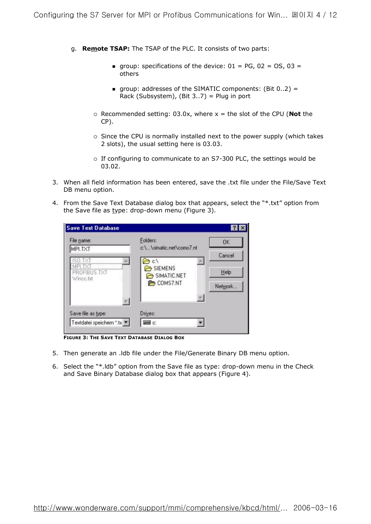- g. **Remote TSAP:** The TSAP of the PLC. It consists of two parts:
	- qroup: specifications of the device:  $01 = PG$ ,  $02 = OS$ ,  $03 =$ others
	- qroup: addresses of the SIMATIC components:  $(Bit 0.2) =$ Rack (Subsystem), (Bit 3..7) = Plug in port
	- ° Recommended setting: 03.0x, where x = the slot of the CPU (**Not** the CP).
	- ° Since the CPU is normally installed next to the power supply (which takes 2 slots), the usual setting here is 03.03.
	- ° If configuring to communicate to an S7-300 PLC, the settings would be 03.02.
- 3. When all field information has been entered, save the .txt file under the File/Save Text DB menu option.
- 4. From the Save Text Database dialog box that appears, select the "\*.txt" option from the Save file as type: drop-down menu (Figure 3).

| File name:<br>MPI.TXT     | Folders:<br>c:\\simatic.net\coms7.nt | OK      |
|---------------------------|--------------------------------------|---------|
|                           | $c \Lambda$                          | Cancel  |
| PROFIBUS.TXT<br>Wincc.txt | SIEMENS<br>SIMATIC.NET               | Help    |
|                           | COMS7.NT                             | Network |
|                           |                                      |         |
| Save file as type:        | Drives:                              |         |

**FIGURE 3: THE SAVE TEXT DATABASE DIALOG BOX**

- 5. Then generate an .ldb file under the File/Generate Binary DB menu option.
- 6. Select the "\*.ldb" option from the Save file as type: drop-down menu in the Check and Save Binary Database dialog box that appears (Figure 4).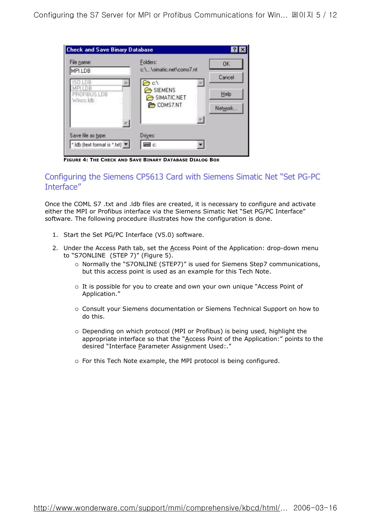| File name:<br>MPI.LDB     | Folders:<br>c:\\simatic.net\coms7.nt | OK       |
|---------------------------|--------------------------------------|----------|
|                           | e d                                  | Cancel   |
| PROFIBUS.LDB<br>Wincc.ldb | SIEMENS<br>SIMATIC.NET               | Help     |
|                           | COMS7.NT                             | Network. |
|                           |                                      |          |
| Save file as type:        | Drives:                              |          |

**FIGURE 4: THE CHECK AND SAVE BINARY DATABASE DIALOG BOX**

## Configuring the Siemens CP5613 Card with Siemens Simatic Net "Set PG-PC Interface"

Once the COML S7 .txt and .ldb files are created, it is necessary to configure and activate either the MPI or Profibus interface via the Siemens Simatic Net "Set PG/PC Interface" software. The following procedure illustrates how the configuration is done.

- 1. Start the Set PG/PC Interface (V5.0) software.
- 2. Under the Access Path tab, set the Access Point of the Application: drop-down menu to "S7ONLINE (STEP 7)" (Figure 5).
	- ° Normally the "S7ONLINE (STEP7)" is used for Siemens Step7 communications, but this access point is used as an example for this Tech Note.
	- ° It is possible for you to create and own your own unique "Access Point of Application."
	- ° Consult your Siemens documentation or Siemens Technical Support on how to do this.
	- ° Depending on which protocol (MPI or Profibus) is being used, highlight the appropriate interface so that the "Access Point of the Application:" points to the desired "Interface Parameter Assignment Used:."
	- ° For this Tech Note example, the MPI protocol is being configured.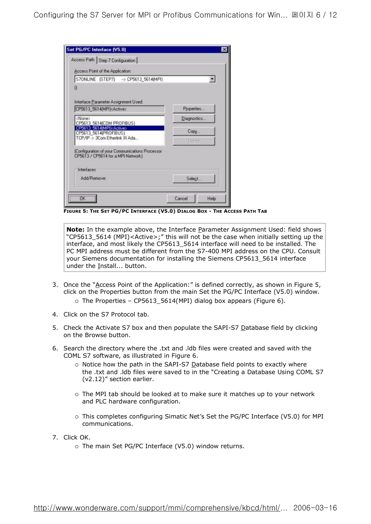| Access Point of the Application:                                                      |             |
|---------------------------------------------------------------------------------------|-------------|
| S70NLINE (STEP7) -> CP5613_5614(MPI)                                                  |             |
| 0                                                                                     |             |
| Interface Parameter Assignment Used:                                                  |             |
| CP5613 5614[MPI] <active></active>                                                    | Properties  |
| <none><br/>CP5613 5614(COM PROFIBUS)</none>                                           | Diagnostics |
| CP5613 5614[MPI] KActive><br>CP5613_5614(PROFIBUS)                                    | Copy        |
| TCP/IP > 3Com Etherlink III Ada                                                       | Deleter     |
| (Configuration of your Communications Processor<br>CP5613 / CP5614 for a MPI-Network] |             |
| Interfaces                                                                            |             |
| Add/Remover                                                                           | Select      |

**FIGURE 5: THE SET PG/PC INTERFACE (V5.0) DIALOG BOX - THE ACCESS PATH TAB**

**Note:** In the example above, the Interface Parameter Assignment Used: field shows "CP5613\_5614 (MPI)<Active>;" this will not be the case when initially setting up the interface, and most likely the CP5613\_5614 interface will need to be installed. The PC MPI address must be different from the S7-400 MPI address on the CPU. Consult your Siemens documentation for installing the Siemens CP5613\_5614 interface under the Install... button.

- 3. Once the "Access Point of the Application:" is defined correctly, as shown in Figure 5, click on the Properties button from the main Set the PG/PC Interface (V5.0) window. ° The Properties – CP5613\_5614(MPI) dialog box appears (Figure 6).
- 4. Click on the S7 Protocol tab.
- 5. Check the Activate S7 box and then populate the SAPI-S7 Database field by clicking on the Browse button.
- 6. Search the directory where the .txt and .ldb files were created and saved with the COML S7 software, as illustrated in Figure 6.
	- o Notice how the path in the SAPI-S7 Database field points to exactly where the .txt and .ldb files were saved to in the "Creating a Database Using COML S7 (v2.12)" section earlier.
	- ° The MPI tab should be looked at to make sure it matches up to your network and PLC hardware configuration.
	- ° This completes configuring Simatic Net's Set the PG/PC Interface (V5.0) for MPI communications.
- 7. Click OK.
	- ° The main Set PG/PC Interface (V5.0) window returns.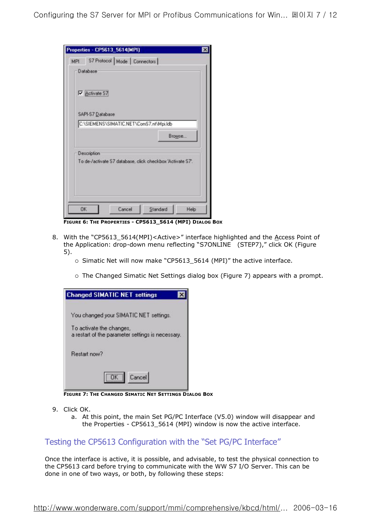|     | Properties - CP5613_5614(MPI)                              |        |          |        |
|-----|------------------------------------------------------------|--------|----------|--------|
| MPI | S7 Protocol   Mode   Connectors                            |        |          |        |
|     | Database                                                   |        |          |        |
|     | Activate S7                                                |        |          |        |
|     | SAPI-S7 Database                                           |        |          |        |
|     | C:\SIEMENS\SIMATIC.NET\ComS7.nt\Mpi.ldb                    |        |          |        |
|     |                                                            |        |          | Browse |
|     | Description                                                |        |          |        |
|     | To de-/activate S7 database, click checkbox 'Activate S7'. |        |          |        |
|     |                                                            |        |          |        |
|     |                                                            |        |          |        |
|     |                                                            |        |          |        |
| 0K  |                                                            | Cancel | Standard |        |

**FIGURE 6: THE PROPERTIES - CP5613\_5614 (MPI) DIALOG BOX**

- 8. With the "CP5613\_5614(MPI)<Active>" interface highlighted and the Access Point of the Application: drop-down menu reflecting "S7ONLINE (STEP7)," click OK (Figure 5).
	- ° Simatic Net will now make "CP5613\_5614 (MPI)" the active interface.
	- ° The Changed Simatic Net Settings dialog box (Figure 7) appears with a prompt.

| <b>Changed SIMATIC NET settings</b>                                           |
|-------------------------------------------------------------------------------|
| You changed your SIMATIC NET settings.                                        |
| To activate the changes,<br>a restart of the parameter settings is necessary. |
| Restart now?                                                                  |
| Cancel                                                                        |

**FIGURE 7: THE CHANGED SIMATIC NET SETTINGS DIALOG BOX**

- 9. Click OK.
	- a. At this point, the main Set PG/PC Interface (V5.0) window will disappear and the Properties - CP5613\_5614 (MPI) window is now the active interface.

# Testing the CP5613 Configuration with the "Set PG/PC Interface"

Once the interface is active, it is possible, and advisable, to test the physical connection to the CP5613 card before trying to communicate with the WW S7 I/O Server. This can be done in one of two ways, or both, by following these steps: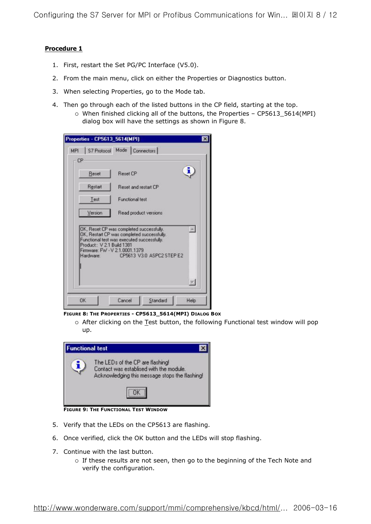#### **Procedure 1**

- 1. First, restart the Set PG/PC Interface (V5.0).
- 2. From the main menu, click on either the Properties or Diagnostics button.
- 3. When selecting Properties, go to the Mode tab.
- 4. Then go through each of the listed buttons in the CP field, starting at the top.
	- ° When finished clicking all of the buttons, the Properties CP5613\_5614(MPI) dialog box will have the settings as shown in Figure 8.

|                                                        | Properties - CP5613_5614(MPI)                                                                                                                                                                      |  |
|--------------------------------------------------------|----------------------------------------------------------------------------------------------------------------------------------------------------------------------------------------------------|--|
| MPI                                                    | S7 Protocol Mode Connectors                                                                                                                                                                        |  |
| CP                                                     |                                                                                                                                                                                                    |  |
| Reset                                                  | Reset CP                                                                                                                                                                                           |  |
| Restart                                                | Reset and restart CP                                                                                                                                                                               |  |
| Test                                                   | Functional test                                                                                                                                                                                    |  |
| Version                                                | Read product versions                                                                                                                                                                              |  |
| Product: V 21 Build 1381<br>Hardware: <b>Hardware:</b> | OK, Reset CP was completed successfully.<br>OK, Restart CP was completed successfully.<br>Functional test was executed successfully.<br>Firmware: FW - V 2.1.0001.1379<br>CP5613 V30 ASPC2 STEP E2 |  |
|                                                        |                                                                                                                                                                                                    |  |
|                                                        |                                                                                                                                                                                                    |  |

**FIGURE 8: THE PROPERTIES - CP5613\_5614(MPI) DIALOG BOX** 

° After clicking on the Test button, the following Functional test window will pop up.

| <b>Functional test</b> |                                                                                                                               |
|------------------------|-------------------------------------------------------------------------------------------------------------------------------|
|                        | The LEDs of the CP are flashing!<br>Contact was establised with the module.<br>Acknowledging this message stops the flashing! |
|                        |                                                                                                                               |

**FIGURE 9: THE FUNCTIONAL TEST WINDOW**

- 5. Verify that the LEDs on the CP5613 are flashing.
- 6. Once verified, click the OK button and the LEDs will stop flashing.
- 7. Continue with the last button.
	- ° If these results are not seen, then go to the beginning of the Tech Note and verify the configuration.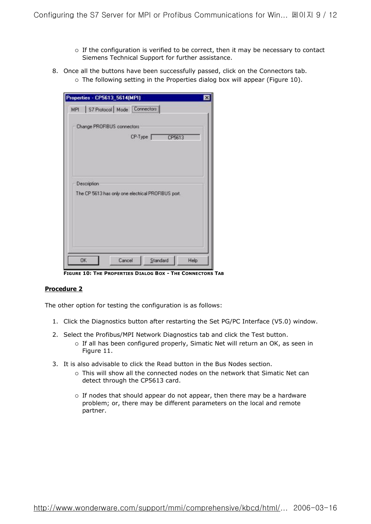- $\circ$  If the configuration is verified to be correct, then it may be necessary to contact Siemens Technical Support for further assistance.
- 8. Once all the buttons have been successfully passed, click on the Connectors tab.
	- $\circ$  The following setting in the Properties dialog box will appear (Figure 10).

| Properties - CP5613_5614(MPI)<br>×                 |
|----------------------------------------------------|
| S7 Protocol   Mode   Connectors  <br>MPI           |
| Change PROFIBUS connectors:                        |
| CP-Type CP5613                                     |
|                                                    |
|                                                    |
|                                                    |
| <b>Description</b>                                 |
| The CP 5613 has only one electrical PROFIBUS port. |
|                                                    |
|                                                    |
| <b>OK</b><br>Standard<br>Cancel<br>Help            |

**FIGURE 10: THE PROPERTIES DIALOG BOX - THE CONNECTORS TAB**

#### **Procedure 2**

The other option for testing the configuration is as follows:

- 1. Click the Diagnostics button after restarting the Set PG/PC Interface (V5.0) window.
- 2. Select the Profibus/MPI Network Diagnostics tab and click the Test button.
	- ° If all has been configured properly, Simatic Net will return an OK, as seen in Figure 11.
- 3. It is also advisable to click the Read button in the Bus Nodes section.
	- ° This will show all the connected nodes on the network that Simatic Net can detect through the CP5613 card.
	- ° If nodes that should appear do not appear, then there may be a hardware problem; or, there may be different parameters on the local and remote partner.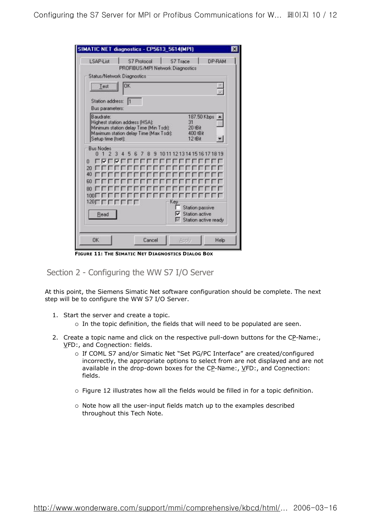| SIMATIC NET diagnostics - CP5613_5614(MPI)                                                                                                                   |                                                                  | $\mathsf{x}$ |
|--------------------------------------------------------------------------------------------------------------------------------------------------------------|------------------------------------------------------------------|--------------|
| LSAP-List<br>S7 Protocol<br>PROFIBUS/MPI Network Diagnostics                                                                                                 | S7 Trace<br>DP-RAM                                               |              |
| <b>Status/Network Diagnostics</b>                                                                                                                            |                                                                  |              |
| OK<br>Test                                                                                                                                                   | i.                                                               |              |
| Station address:<br>$\mathbb{N}$<br>Bus parameters:                                                                                                          |                                                                  |              |
| <b>Baudrate:</b><br>Highest station address (HSA):<br>Minimum station delay Time (Min Tsdr):<br>Maximum station delay Time (Max Tsdr):<br>Setup time (tset): | 187.50 Kbps<br>31<br>20 tBit<br>400 tBit<br>12 tBit              |              |
| <b>Bus Nodes</b><br>ก 1<br>$\mathfrak{p}$<br>8<br>5<br>в<br>-7<br>n                                                                                          | 9 1011 1213 14 15 16 17 18 19                                    |              |
| 20<br>40<br>60                                                                                                                                               |                                                                  |              |
| 80<br>1001<br>Key<br>$120 \Gamma$<br>$-11$                                                                                                                   |                                                                  |              |
| Read                                                                                                                                                         | <b>Station passive</b><br>Station active<br>Station active ready |              |
| <b>OK</b><br>Cancel                                                                                                                                          | Help<br>Apply                                                    |              |

**FIGURE 11: THE SIMATIC NET DIAGNOSTICS DIALOG BOX**

Section 2 - Configuring the WW S7 I/O Server

At this point, the Siemens Simatic Net software configuration should be complete. The next step will be to configure the WW S7 I/O Server.

- 1. Start the server and create a topic.
	- ° In the topic definition, the fields that will need to be populated are seen.
- 2. Create a topic name and click on the respective pull-down buttons for the CP-Name:, VFD:, and Connection: fields.
	- ° If COML S7 and/or Simatic Net "Set PG/PC Interface" are created/configured incorrectly, the appropriate options to select from are not displayed and are not available in the drop-down boxes for the CP-Name:, VFD:, and Connection: fields.
	- ° Figure 12 illustrates how all the fields would be filled in for a topic definition.
	- ° Note how all the user-input fields match up to the examples described throughout this Tech Note.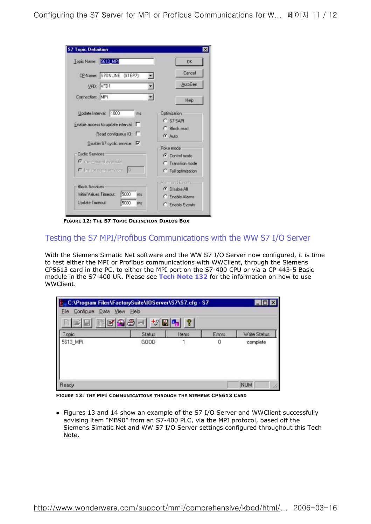| <b>S7 Topic Definition</b>           |                                     |
|--------------------------------------|-------------------------------------|
| Topic Name: 5613 MPI                 | <b>OK</b>                           |
| CP-Name: S7ONLINE (STEP7)            | Cancel<br>z                         |
| VFD: VFD1                            | AutoGen                             |
| Connection: MPI                      | ۰<br>Help                           |
| Update Interval: 1000<br>me          | Optimization:                       |
| Enable access to update interval: F  | C S7 SAPI<br>C Block read           |
| Read contiguous IO: F                | G Auto                              |
| Disable S7 cyclic service: V         | Poke mode                           |
| <b>Cyclic Services</b>               | C Control mode                      |
| C use maximal available              | C Transition mode                   |
| C Initionsystemery services<br>10    | C Full optimization                 |
| <b>Block Services</b>                | Alarm and Eventu-                   |
| 5000<br>Initial Values Timeout<br>ms | C Disable All                       |
| 5000<br>Update Timeout:<br>me        | C Enable Alarms<br>C. Enable Events |

**FIGURE 12: THE S7 TOPIC DEFINITION DIALOG BOX**

## Testing the S7 MPI/Profibus Communications with the WW S7 I/O Server

With the Siemens Simatic Net software and the WW S7 I/O Server now configured, it is time to test either the MPI or Profibus communications with WWClient, through the Siemens CP5613 card in the PC, to either the MPI port on the S7-400 CPU or via a CP 443-5 Basic module in the S7-400 UR. Please see **Tech Note 132** for the information on how to use WWClient.

| Em C:\Program Files\FactorySuite\IOServer\S7\S7.cfg - S7<br>Configure<br>File<br>Data View Help |                |             |             |                          |
|-------------------------------------------------------------------------------------------------|----------------|-------------|-------------|--------------------------|
| 미터 데 더 더 이 더 더 더 더 더 .<br>Topic<br>5613_MPI                                                     | Status<br>GOOD | P.<br>Items | Errors<br>0 | Write Status<br>complete |
| Ready                                                                                           |                |             |             | <b>NUM</b>               |

**FIGURE 13: THE MPI COMMUNICATIONS THROUGH THE SIEMENS CP5613 CARD** 

• Figures 13 and 14 show an example of the S7 I/O Server and WWClient successfully advising item "MB90" from an S7-400 PLC, via the MPI protocol, based off the Siemens Simatic Net and WW S7 I/O Server settings configured throughout this Tech Note.